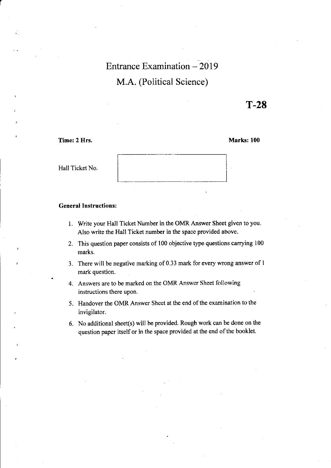T-28

Time: 2 Hrs. Marks: 100

Hall Ticket No.

|  | --- |  |
|--|-----|--|
|  |     |  |
|  |     |  |
|  |     |  |
|  |     |  |
|  |     |  |
|  |     |  |
|  |     |  |
|  |     |  |
|  |     |  |
|  |     |  |
|  |     |  |
|  |     |  |
|  |     |  |
|  |     |  |
|  |     |  |
|  |     |  |
|  |     |  |
|  |     |  |
|  |     |  |
|  |     |  |
|  |     |  |
|  |     |  |
|  |     |  |
|  |     |  |
|  |     |  |
|  |     |  |
|  |     |  |

#### General Instructions:

- 1. Write your Hall Ticket Number in the OMR Answer Sheet given to you. Also write the Hall Ticket number in the space provided above.
- 2. This question paper consists of 100 objective type questions carrying <sup>100</sup> marks.
- 3. There will be negative marking of 0.33 mark for every wrong answer of I mark question.
- 4. Answers are to be marked on the OMR Answer Sheet following instructions there upon.
- 5. Handover the OMR Answer Sheet at the end of the examination to the invigilator.
- No additional sheet(s) will be provided. Rough work can be done on the question paper itself or in the space provided at the end of the booklet.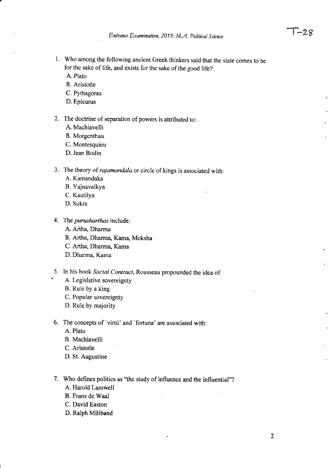- l. Who among the following ancient Greek thinkers said that the state comes to be for the sake of life, and exists for the sake of the good life?
	- A. Plato
	- B. Aristotle
	- C. Pythagoras
	- D. Epicurus
- 2. The doctrine of separation of powers is attributed to:
	- A. Machiavelli
	- B. Morgenthau
	- C. Montesquieu
	- D. Jean Bodin
- 3. The theory of *rajamandala* or circle of kings is associated with:
	- A. Kamandaka
	- B. Yajnavalkya
	- C. Kautilya
	- D. Sukra
- 4. The purusharthas include:
	- A. Artha, Dharma
	- B. Artha, Dharma, Kama, Moksha
	- C. Artha, Dharma, Kama
	- D. Dharma, Kama
- 5. In his book Social Contract, Rousseau propounded the idea of:
	- A. Legislative sovereignty
	- B. Rule by a king
	- C. Popular sovereignty
	- D. Rule by majority
- 6. The concepts of 'virtú' and 'fortuna' are associated with:
	- A. Plato
	- B. Machiavelli
	- C. Aristotle
	- D. St. Augustine
- 7. Who defines politics as "the study of influence and the influential"? A. Harold Lasswell
	- B, Frans de Waal
	- C. David Easton
	- D. Ralph Miliband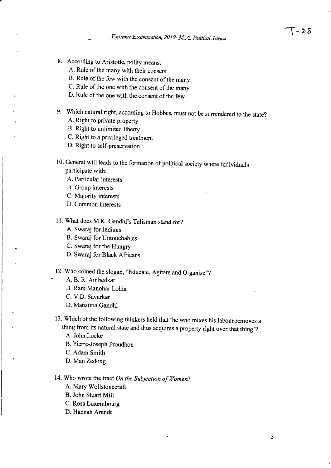- 8. According to Aristotle, polity means:
	- A. Rule of the many with their consent
	- B. Rule of the few with the consent of the many
	- C. Rule of the one with the consent of the many
	- D. Rule of the one with the consent of the few
- 9. which natural right, according to Hobbes, must not be surrendered to the state?
	- A. Right to private property
	- B. Right to unlimited liberty
	- C. Right to a privileged treatment
	- D. Right to self-preservation
- 10. General will leads to the formation of political society where individuals participate with:
	- A. Particular interests
	- B. Group interests
	- C. Majority interests
	- D. Common interests
- <sup>1</sup>1. What does M.K. Gandhi's Talisman stand for?
	- A. Swaraj for Indians
	- B. Swaraj for Untouchables
	- C. Swaraj for the Hungry
	- D. Swaraj for Black Africans
- 12. Who coined the slogan, "Educate, Agitate and Organise"?
	- A. B. R. Ambedkar
	- B. Ram Manohar Lohia
	- C. V.D. Savarkar
	- D. Mahatma Gandhi
- 13. Which of the following thinkers held that 'he who mixes his labour removes a thing from its natural state and thus acquires a property right over that thing'?
	- A. John Locke
	- B. Piene-Joseph Proudhon
	- C. Adam Smith
	- D. Mao Zedong

14. Who wrote the tract On the Subjection of Women?

- A. Mary Wollstonecraft
- B. John Stuart Mill
- C, Rosa Luxembourg
- D. Hannah Arendt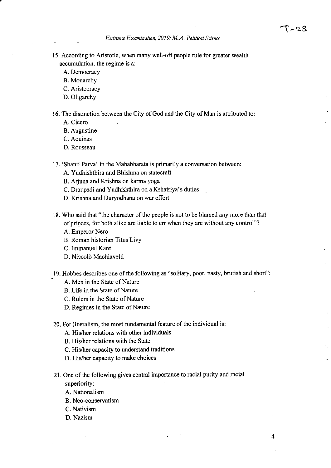- 15. According to Aristotle, when many well-off people rule for greater wealth accumulation, the regime is a:
	- A. Democracy
	- B. Monarchy
	- C. Aristocracy
	- D. Oligarchy

16. The distinction between the City of God and the City of Man is attributed to:

- A. Cicero
- B. Augustine
- C. Aquinas
- D. Rousseau
- 17. 'shanti Parva' in the Mahabharata is primarily a conversation between:
	- A. Yudhishthira and Bhishma on statecraft
	- B. Arjuna and Krishna on karma yoga
	- C. Draupadi and Yudhishthira on a Kshatriya's duties
	- D. Krishna and Duryodhana on war effort
- 18. Who said that "the character of the people is not to be blamed any more than that of princes, for both alike are liable to err when they are without any control"? A. Emperor Nero
	- B. Roman historian Titus Livy
	- C. Immanuel Kant
	- D. Niccold Machiavelli
- 19. Hobbes describes one of the following as "solitary, poor, nasty, brutish and short":
	- A. Men in the State of Nature
	- B. Life in the State of Nature
	- C. Rulers in the State of Nature
	- D. Regimes in the State of Nature
- 20. For liberalism, the most fundamental feature of the individual is:
	- A. His/her relations with other individuals
	- B. His/her relations with the State
	- C. His/her capacity to understand traditions
	- D. His/her capacity to make choices
- 21. One of the following gives central importance to racial purity and racial superiority:
	- A. Nationalism
	- B. Neo-conservatism
	- C. Nativism
	- D. Nazism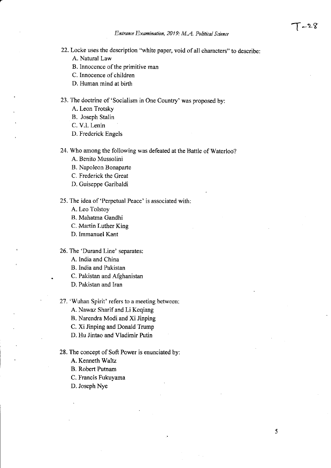22. Locke uses the description "white paper, void of all characters" to describe:

- A. Natural Law
- B. Innocence of the primitive man
- C. Innocence of children
- D. Human mind at birth

23. The doctrine of'Socialism in One Country' was proposed by:

- A. Leon Trotsky
- B. Joseph Stalin
- C. V.l. Lenin
- D. Frederick Engels
- 24. Who among the following was defeated at the Battle of Waterloo?
	- A. Benito Mussolini
	- B. Napoleon Bonaparte
	- C. Frederick the Great
	- D. Guiseppe Garibaldi

25. The idea of'Perpetual Peace' is associated with:

- A. Leo Tolstoy
- B. Mahatma Gandhi
- C. Martin Luther King
- D. Immanuel Kant
- 26. The 'Durand Line' separates:
	- A. lndia and China
	- B. India and Pakistan
	- C. Pakistan and Afghanistan
	- D. Pakistan and Iran
- 27. 'Wuhan Spirit' refers to a meeting between:
	- A. Nawaz Sharif and Li Keqiang
	- B. Narendra Modi and Xi Jinping
	- C. Xi Jinping and Donald Trump
	- D. Hu Jintao and Vladimir Putin

28. The concept of Soft Power is enunciated by:

- A. Kenneth Waltz
- B. Robert Putnam
- C. Francis Fukuyama
- D. Joseph Nye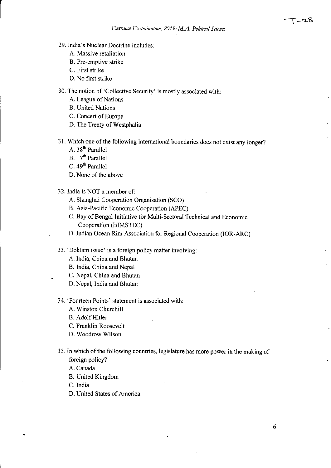- 29. India's Nuclear Doctrine includes:
	- A. Massive retaliation
	- B. Pre-emptive strike
	- C. First strike
	- D. No first strike
- 30. The notion of 'Collective Security' is mostly associated with:
	- A. League of Nations
	- B. United Nations
	- C. Concert of Europe
	- D. The Treaty of Westphalia
- 31. Which one of the following international boundaries does not exist any longer? A. 38<sup>th</sup> Parallel
	- B. 17<sup>th</sup> Parallel
	- C. 49'h Parallel
	- D. None of the above
- 32. lndia is NOT a member oF
	- A. Shanghai Cooperation Organisation (SCO)
	- B. Asia-Pacific Economic Cooperation (APEC)
	- C. Bay of Bengal Initiative for Multi-Sectoral Technical and Economic Cooperation (BIMSTEC)
	- D. Indian Ocean Rim Association for Regional Cooperation (IOR-ARC)
- 33. 'Doklam issue' is a foreign policy matter involving:
	- A. India, China and Bhutan
	- B. lndia, China and Nepal
	- C. Nepal, China and Bhutan
	- D. Nepal, India and Bhutan

34. 'Fourteen Points' statement is associated with:

A. Winston Churchill

B. Adolf Hitler

- C. Franklin Roosevelt
- D. Woodrow Wilson
- 35. In which of the following countries, legislature has more power in the making of foreign policy?

A. Canada

B. United Kingdom

C. India

D. United States of America

-T-a-8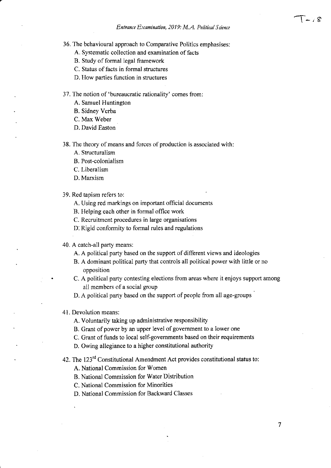- A. Systematic collection and examination of facts
- B. Study of formal legal framework
- C. Status of fhcts in formal structures
- D. How parties function in structures

37. The notion of 'bureaucratic rationality' comes from:

- A. Samuel Huntington
- B. Sidney Verba
- C. Max Weber
- D. David Easton

38. The theory of means and forces of production is associated with:

- A. Structuralism
- B. Post-colonialism
- C. Liberalism
- D. Marxism
- 39. Red tapism refers to:
	- A. Using red markings on important official documents
	- B. Helping each other in formal office work
	- C. Recruitment procedures in large organisations
	- D. Rigid conformity to formal rules and regulations

40. A catch-all party means:

- A. A political party based on the support of different views and ideologies
- B. A dominant political party that controls all political power with little or no opposition
- C. A political party contesting elections from areas where it enjoys support among all members of a social group
- D. A political party based on the support of people from all age-groups
- 41, Devolution means:
	- A. Voluntarily taking up administrative responsibility
	- B. Grant of power by an upper level of government to a lower one
	- C. Grant of funds to local self-governments based on their requirements
	- D. Owing allegiance to a higher constitutional authority

### 42. The 123'd Constitutional Amendment Act provides constitutional status to:

A. National Commission for Women

- B. National Commission for Water Distribution
- C. National Commission for Minorities
- D. National Commission for Backward Classes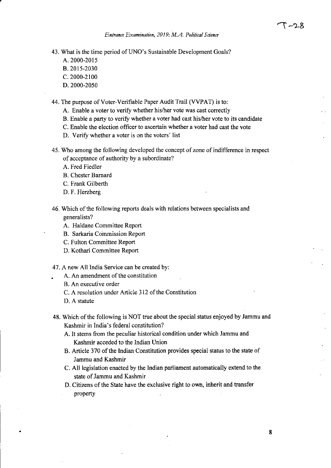43. What is the time period of UNO's Sustainable Development Goals?

- A.2000-2015
- 8.2015-2030
- c. 2000-2100
- D.2000-2050

44. The purpose of Voter-Verifiable Paper Audit Trail (WPAT) is to:

- A. Enable a voter to verify whether his/her vote was cast correctly
- B. Enable a party to verify whether a voter had cast his/her vote to its candidate
- C. Enable the election officer to ascertain whether a voter had cast the vote
- D. Verify whether a voter is on the voters' list
- 45. Who among the following developed the concept of zonc of indifference in respect of acceptance of authority by a subordinate?
	- A. Fred Fiedler
	- B. Chester Barnard
	- C. Frank Gilberth
	- D. F. Herzberg
- 46. Which of the following reports deals with relations between specialists and generalists?
	- A. Haldane Committee Report
	- B. Sarkaria Commission Report
	- C. Fulton Committee Report
	- D. Kothari Committee Report

#### 47. A new All India Service can be created by:

- . A. An amendment of the constitution
	- B. An executive order
	- C. A resolution under Article 312 of the Constitution
	- D. A statute
- 48. Which of the following is NOT true about the special status enjoyed by Jammu and Kashmir in India's federal constitution?
	- A. It stems from the peculiar historical condition under which Jammu and Kashmir acceded to the Indian Union
	- B. Article 370 of the Indian Constitution provides special status to the state of Jammu and Kashmir
	- C. All legislation enacted by the Indian parliament automatically extend to the state of Jammu and Kashmir
	- D. Citizens of the State have the exclusive right to own, inherit and transfer property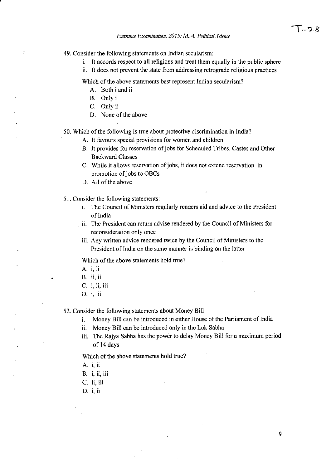- 49. Consider the following statements on Indian secularism:
	- i. It accords respect to all religions and treat them equally in the public sphere
	- ii. It does not prevent the state from addressing retrograde religious practices

Which of the above statements best represent Indian secularism?

- A. Both i and ii
- B. Only <sup>i</sup>
- C. Only ii
- D. None of the above

50. Which of the following is true about protective discrimination in India?

- A. It favours special provisions for women and children
- B. It provides for reservation of jobs for Scheduled Tribes, Castes and Other Backward Classes
- C. While it allows reservation ofjobs, it does not extend reservation in promotion of jobs to OBCs
- D. All of the above
- <sup>5</sup>L Consider the following statements:
	- i. The Council of Ministers regularly renders aid and advice to the President of India
	- . ii. The President can return advise rendered by the Council of Ministers for reconsideration only once
	- iii. Any written advice rendered twice by the Council of Ministers to the President of India on thc same manner is binding on the latter

Which of the above statements hold true?

- A. i, ii
- B. ii, iii
- c. i, ii, iii
- D. i, iii

52. Consider the following statements about Money Bill

- i. Money Bill can be introduced in either House of the Parliament of India
- ii. Money Bill can be introduced only in the Lok Sabha
- iii. The Rajya Sabha has the power to delay Money Bill for a maximum period of 14 days

Which of the above statements hold true?

- A. i, ii
- B. i, ii, iii
- c. ii, iii

D. i, ii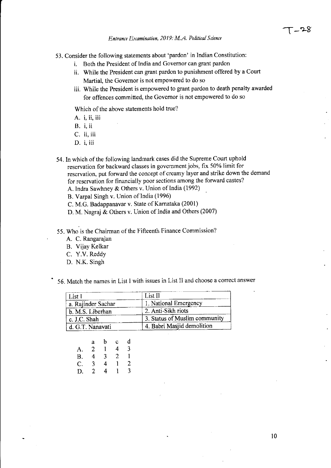- 53. Consider the following statements about 'pardon' in Indian Constitution:
	- i. Both the President of India and Governor can grant pardon
	- ii. While the President can grant pardon to punishment offered by a Court Martial, the Govemor is not empowered to do so
	- iii. While the President is empowered to grant pardon to death penalty awarded for offences committed, the Governor is not empowered to do so

Which of the above statements hold true?

- A. i, ii, iii
- B. i, ii
- c. ii, iii
- D. i, iii
- 54. In which of the following landmark cases did the Supreme Court uphold reservation for backward classes in govcmmentjobs, fix 50% limit for rescrvation, put forward the concept of creamy layer and strike down the demand for reservation for financially poor sections among the forward castes?
	- A. Indra Sawhney & Others v. Union of India (1992)
	- B. Varpal Singh v. Union of India (1996)
	- C. M.G. Badappanavar v. State of Kamataka (2001)
	- D. M. Nagraj & Others v. Union of India and Others (2007)
- 55. Who is the Chairman of the Fifteenth Finance Commission?
	- A. C. Rangarajan
	- B. Vijay Kelkar
	- C. Y.V. Reddy
	- D. N.K. Singh
- ' 56. Match the names in Lisl I with issues in Lisl II and choose a correct answer

| List I             | List II                       |
|--------------------|-------------------------------|
| a. Rajinder Sachar | 1. National Emergency         |
| b. M.S. Liberhan   | 2. Anti-Sikh riots            |
| c. J.C. Shah       | 3. Status of Muslim community |
| d. G.T. Nanavati   | 4. Babri Masjid demolition    |

|    | a | b | Ć | d |
|----|---|---|---|---|
| А. | 2 | 1 | 4 | 3 |
| B. | 4 | 3 | 2 | 1 |
| C. | 3 | 4 | 1 | 2 |
| D. | 2 | 4 | 1 | 3 |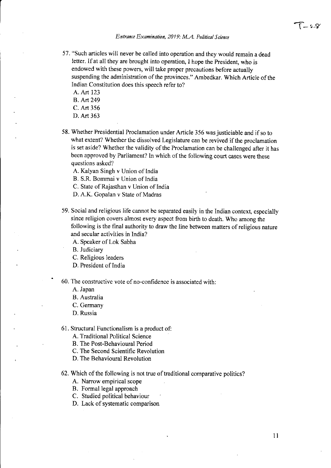57. "Such articles will never be called into operation and they would remain a dead letter. If at all they are brought into operation, I hope the President, who is endowed with these powers, will take proper precautions before actually suspending the administration of the provinces." Ambedkar. Which Article of the Indian Constitution does this speech refer to?

A. Art 123

- B. Art249
- C. Art 356
- D. Art 363
- 58. Whether Presidential Proclamation under Article 356 was justiciable and if so to what extent? Whether the dissolved Legislature can be revived if the proclamation is set aside? Whether the validity of the Proclamation can be challenged after it has been approved by Parliament? In which of the following court cases were these questions asked?
	- A. Kalyan Singh v Union of India
	- B. S.R. Bommai v Union of India
	- C. State of Rajasthan v Union of India
	- D. A.K. Gopalan v State of Madras
- 59. Social and religious life cannot be separated easily in the Indian contcxt, especially since religion covers almost every aspect from birth to death. Who among the following is the final authority to draw the line between matters of religious nature and secular activities in India?

A. Speaker of Lok Sabha

B. Judiciary

- C. Religious leaders
- D. President of India

60. The constructive vote of no-confidence is associated with:

A. Japan

B. Australia

- C. Germany
- D. Russia

61. Structural Functionalism is a product of:

- A. Traditional Political Science
- B. The Post-Behavioural Period
- C. The Second Scientific Revolution
- D. The Behavioural Revolution

#### 62. Which of the following is not true of traditional comparative politics?

- A. Narrow empirical scope
- B. Formal legal approach
- C. Studied political behaviour
- D. Lack of systematic comparison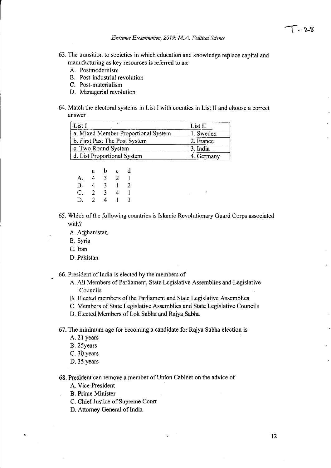- 63. The transition to societies in which education and knowledge replace capital and manufacturing as key resources is referred to as:
	- A. Postmodemism
	- B. Post-industrial revolution
	- C. Post-materialism
	- D. Managerial revolution
- 64. Match the electoral systems in List I with counties in Lisl II and choose a correct answer

| List I                              | List II    |
|-------------------------------------|------------|
| a. Mixed Member Proportional System | 1. Sweden  |
| b. First Past The Post System       | 2. France  |
| c. Two Round System                 | 3. India   |
| d. List Proportional System         | 4. Germany |

|           | a | b | Ċ | d |
|-----------|---|---|---|---|
| А.        | 4 | 3 | 2 | 1 |
| <b>B.</b> | 4 | 3 | 1 | 2 |
| C.        | 2 | 3 | 4 |   |
| D.        | 2 | 4 | 1 | 3 |

- 65. Which of the following countries is Islamic Revolutionary Guard Corps associated with?
	- A. Afghanistan
	- B. Syria
	- C. Iran
	- D. Pakistan

66. President of India is elected by the members of

- A. All Members of Parliament, State Legislative Assemblies and Legislative Councils
- B. Elected members of the Parliament and State Legislative Assemblies
- C. Members of State Legislative Assemblies and State Legislative Councils
- D. Elected Members of Lok Sabha and Rajya Sabha

67. The minimum age for becoming a candidate for Rajya Sabha election is

- A. 21 years
- B. 25years
- C. 30 years
- D. 35 years

68. President can remove a member of Union Cabinet on the advice of

- A. Vice-President
- B. Prime Minister
- C. Chief Justice of Supreme Court
- D. Attorney General of India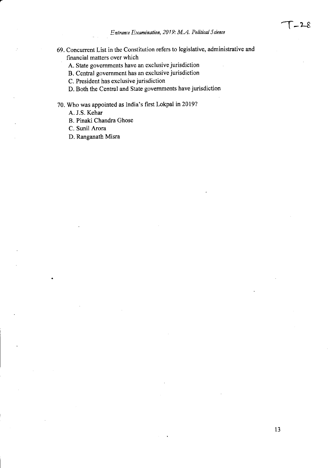- 69. Concurrent List in the Constitution refers to legislative, administrative and financial matters over which
	- A. State governments have an exclusive jurisdiction
	- B. Central government has an exclusive jurisdiction
	- C. President has exclusive jurisdiction
	- D. Both the Central and State govemments have jurisdiction

# 70. Who was appointed as India's first Lokpal in2019?

- A. J.S. Kehar
- B. Pinaki Chandra Ghose
- C. Sunil Arora
- D. Ranganath Misra

 $\Gamma$   $-$  2-8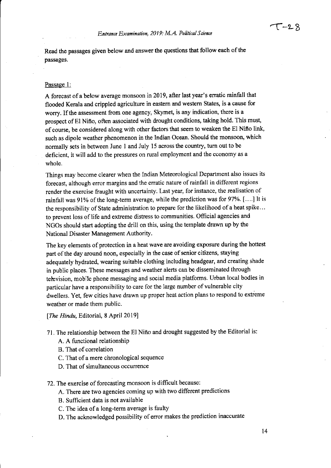Read the passages given below and answer the questions that follow each of the passages.

#### Passage l:

A forecast of a below average monsoon in 2019, after last year's erratic rainfall that flooded Kerala and crippled agriculture in eastem and westem States, is a cause for worry. If the assessment from one agency, Skymet, is any indication, there is a prospect of El Niño, often associated with drought conditions, taking hold. This must, of course, be considered along with other factors that seem to weaken the El Niño link, such as dipole weather phenomenon in the Indian Ocean. Should the monsoon, which normally sets in between June I and July 15 across the country, tum out to be deficient, it will add to the pressures on rural employment and the economy as a whole.

Things may become clearer when the Indian Meteorological Department also issues its forecast, although error margins and the erratic nature of rainfall in different regions render the exercise fraught with uncertainty. Last year, for instance, the realisation of rainfall was 91% of the long-term average, while the prediction was for 97%. [....] It is the responsibility of State administration to prepare for the likelihood of a heat spike... to prevent loss of life and extreme distress to communities. Official agencies and NGOs should start adopting the drill on this, using the template drawn up by the National Disaster Management Authority.

The key elements of protection in a heat wave are avoiding exposure during the hottest part of the day around noon, especially in the case of senior citizens, staying adequately hydrated, wearing suitable clothing including headgear, and creating shade in public places. These messages and weather alerts can be disseminated through television, mobile phone messaging and social media platforms. Urban local bodies in particular have a responsibility to care for the large number of vulnerable city dwellers. Yet, few cities have drawn up proper heat action plans to respond to extreme weather or made them public.

[The Hindu, Editorial, 8 April 2019]

- 71. The relationship between the El Niffo and drought suggested by the Editorial is:
	- A. A functional relationship
	- B. That of correlation
	- C. That of a mere chronological sequence
	- D. That of simultaneous occurrence

72. The exercise of forecasting monsoon is difficult because:

- A. There are two agencies coming up with two different predictions
- B. Sufficient data is not available
- C. The idea of a long-term average is faulty
- D. The acknowledged possibility of error makes the prediction inaccurate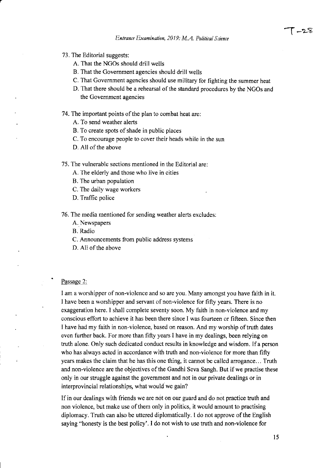- 73. The Editorial suggests:
	- A. That the NGOs should drill wells
	- B. That the Govemment agencies should drill wells
	- C. That Government agencies should use military for fighting the summer heat
	- D. That there should be a rehearsal of the standard procedures by the NGOs and the Government agencies
- 74. The important points of the plan to combat heat are:
	- A. To send weather alerts
	- B. To create spots of shade in public places
	- C. To encourage people to cover their heads while in the sun
	- D. All of the above
- 75. The vulnerablc sections mentioned in the Editorial are:
	- A. The elderly and those who live in cities
	- B. The urban population
	- C. The daily wage workers
	- D. Traffic police

76. The media mentioned for sending weather alerts excludes:

A. Newspapers

B. Radio

- C. Announcements fiom public address systems
- D. All of the above

#### Passage 2:

I am a worshipper of non-violence and so are you. Many amongst you have faith in it. I have been a worshipper and servant of non-violence for fifty years. There is no exaggeration here. I shall complete seventy soon. My faith in non-violence and my conscious effort to achieve it has been there since I was fourteen or fifteen. Since then I have had my faith in non-violence, based on reason. And my worship oftruth dates even further back. For more than fifty years I have in my dealings, been relying on truth alone. Only such dedicated conduct results in knowledge and wisdom. If a person who has always acted in accordance with truth and non-violence for more than fifty years makes the claim that he has this one thing, it cannot be called arrogance... Truth and non-violence are the objectives of the Gandhi Seva Sangh. But if we practise these only in our struggle against the govemment and not in our private dealings or in interprovincial relationships, what would we gain?

If in our dealings with friends we are not on our guard and do not practice truth and non violence, but make use of them only in politics, it would amount to practising diplomacy. Truth can also be uttered diplomatically. I do not approve of the English saying "honesty is the best policy'. I do not wish to use truth and non-violence for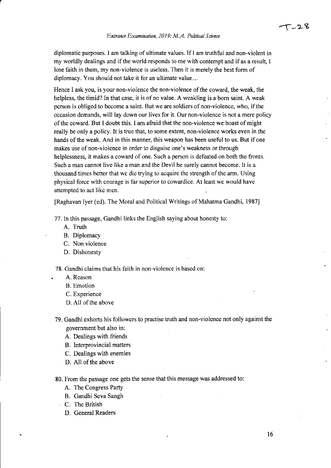diplomatic purposes. I am talking of ultimate values. Ifl am truthful and non-violent in my worldly dealings and if the world responds to me with contempt and if as a result, I lose faith in them, my non-violence is useless. Then it is merely the best form of diplomacy. You should not take it for an ultimate value...

Hence I ask you, is your non-violence the non-violence of the coward, the weak, the helpless, the timid? In that case, it is of no value. A weakling is a born saint. A weak person is obliged to become a saint. But we are soldiers of non-violence, who, if the occasion demands, will lay down our lives for it. Our non-violence is not a mere policy ofthe coward. But I doubt this. I am afraid that the non-violence we boast of might really be only a policy. It is true that, to some extent, non-violence works even in the hands of the weak. And in this manner, this weapon has been useful to us. But if one makes use of non-violence in order to disguise one's weakness or through helplessness, it makes a coward of one. Such a person is defeated on both the fronts. Such a man cannot live like a man and the Devil he surely cannot become. It is a thousand times better that we die trying to acquire the strength of the arm. Using physical force with courage is far superior to cowardice. At least we would have attempted to act like men.

[Raghavan Iyer (ed). The Moral and Political Writings of Mahatma Gandhi, 1987]

77. In this passage, Gandhi links the English saying about honesty to:

- A. Truth
- B. Diplomacy
- C. Non violence
- D. Dishonesty

78. Gandhi claims that his faith in non-violence is based on:

- . A. Reason
- B. Emotion
- C. Experience
- D. All of the above
- 79. Gandhi exhorts his followers to practise truth and non-violence not only against the government but also in:
	- A. Dealings with friends
	- B. Interprovincial matters
	- C. Dealings with enemies
	- D. All of the above

80. From the passage one gets the sense that this message was addressed to:

- A. The Congress Party
- B. Candhi Seva Sangh
- . C. The British
	- D. General Readers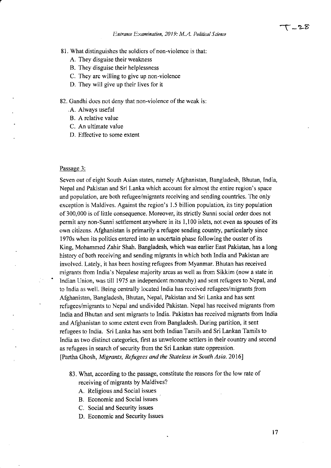- 81. What distinguishes the soldiers of non-violence is that:
	- A. They disguise their weakness
	- B. They disguise their helplessness
	- C. They are willing to give up non-violence
	- D. They will give up their lives for it

82. Gandhi does not deny that non-violence of the weak is:

- .A. Always useful
- B. A relative value
- C. An ultimate value
- D. Effective to some extent

#### Passage 3:

Seven out of eight South Asian states, namely Afghanistan, Bangladesh, Bhutan, India, Nepal and Pakistan and Sri Lanka which account for almost thc entire region's space and population, are both refugee/migrants receiving and sending countries. The only exception is Maldives. Against the region's 1.5 billion population, its tiny population of 300,000 is of little consequence. Moreover, its strictly Sunni social order does not permit any non-Sunni settlement anywhere in its 1,100 islets, not even as spouses of its own citizens. Afghanistan is primarily a refugee sending country, particularly since 1970s when its politics entered into an unoertain phase following the ouster of its King, Mohammed Zahir Shah. Bangladesh, which was earlier East Pakistan, has a long history of both receiving and sending migrants in which both India and Pakistan are involved. Lately, it has been hosting refugees from Myanmar. Bhutan has received migrants from India's Nepalese majority areas as well as from Sikkim (now a state in lndian Union, was till 1975 an independent monarchy) and sent refugees to Nepal, and to India as well. Being centrally located India has received refugees/migrants from Afghanistan, Bangladcsh, Bhutan, Nepal, Pakistan and Sri Lanka and has sent refugees/migrants to Nepal and undivided Pakistan. Nepal has received migrants from India and Bhutan and sent migrants to India. Pakistan has received migrants from India and Afghanistan to some extent even from Bangladesh. During partition, it sent refugees to India. Sri Lanka has sent both Indian Tamils and Sri Lankan Tamils to India as two distinct categories, firs1 as unwelcome settlers in their country and second as refugees in search of security from the Sri Lankan state oppression. [Partha Ghosh, Migrants, Refugees and the Stateless in South Asia. 2016]

### 83. What, according to the passage, constitute the reasons for the low rate of receiving of migrants by Maldives?

- A. Religious and Social issues
- B. Economic and Social issues
- C. Social and Security issues
- D. Economic and Security Issues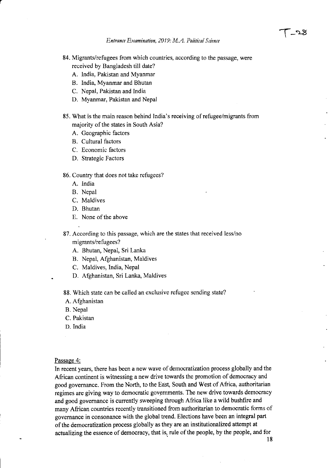- 84. Migrants/refugees from which countries, according to the passage, were
	- received by Bangladesh till date?
	- A. India, Pakistan and Myanmar
	- B. India, Myanmar and Bhutan
	- C. Nepal, Pakistan and India
	- D. Myanmar, Pakistan and Nepal
- 85. What is the main reason behind India's receiving of refugee/migrants from majority of the states in South Asia?
	- A. Geographic factors
	- B. Cultural factors
	- C. Economic factors
	- D. Strategic Factors

#### 86. Country that does not take refugees?

- A. lndia
- B. Nepal
- C. Maldives
- D. Bhutan
- E. None of the above
- 87. According to this passage, which are the states that received less/no migrants/refugees?
	- A. Bhutan, Nepal, Sri Lanka
	- B. Nepal, Afghanistan, Maldives
	- C. Maldives, India, Nepal
	- D. Afghanistan, Sri Lanka, Maldives

88. Which state can be called an exclusive refugee sending state?

- A. Afghanistan
- B. Nepal
- C. Pakistan
- D. India

#### Passage 4:

In recent years, there has been a new wave of democratization process globally and the African continent is witnessing a new drive towards the promotion of democracy and good govemance. From the North, to the East, South and West of Africa, authoritarian regimes are giving way to democratic governments. The new drive towards democracy and good governance is currently sweeping through Africa like a wild bushfire and many African countries recently transitioned from authoritarian to democratic forms of governance in consonance with the global trend. Elections have been an integral part ofthe democratization process globally as they are an institutionalized attempt at actualizing the essence of democracy, that is, rule of the people, by the people, and for

18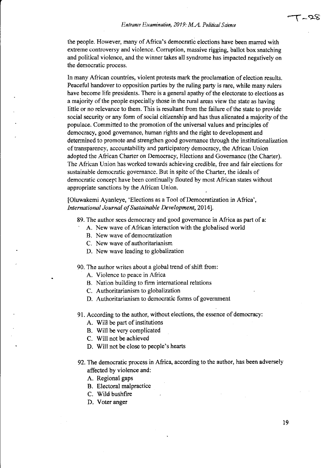the people. However, many of Africa's democratic elections have been marred with extreme controversy and violence. Corruption, massive rigging, ballot box snatching and political violence, and the winner takes all syndrome has impacted negatively on the democratic process.

In many African countries, violent protests mark the proclamation of election results. Peaceful handover to opposition parties by the ruling party is rare, while many rulers have become life presidents. There is a general apathy of the electorate to elections as a majority of the people especially those in the rural areas view the state as having little or no relevance to them. This is resultant from the failure ofthe state to provide social security or any form of social citizenship and has thus alienated a majority of the populace. Committed to the promotion of the universal values and principles of democracy, good governance, human rights and the right to development and determined to promote and strengthen good governance through the institutionalization of transparency, accountability and participatory democracy, the African Union adopted the African Charter on Democracy, Elections and Governance (the Charter). The African Union has worked towards achieving credible, free and fair elections for sustainable democratic governance. But in spite of the Charter, the ideals of democratic concept have been continually flouted by most African states without appropriate sanctions by the African Union.

[Oluwakemi Ayanleye, 'Elections as a Tool of Democratization in Africa', International Journal of Sustainable Development, 2014].

- 89. The author sees democracy and good governance in Africa as part of a:<br>A. New wave of African interaction with the globalised world
	-
	- B. New wave of democratization
	- C. New wave of authoritarianism
	- D. New wave leading to globalization
- 90. The author writes about a global trend of shift from:
	- A. Violence to peace in Africa
	- B. Nation building to firm international relations
	- C. Authoritarianism to globalization
	- D. Authoritarianism to democratic forms of government
- 91. According to the author, without elections, the essence of democracy:
	- A. Will be part of institutions
	- B. Will be very complicated
	- C. Will not be achieved
	- D. Will not be close to people's hearts
- 92. The democratic process in Africa, according to the author, has been adversely affected by violence and:
	- A. Regional gaps
	- B. Electoral malpractice
	- C. Wild bushfire
	- D. Voter anger

--r-e-8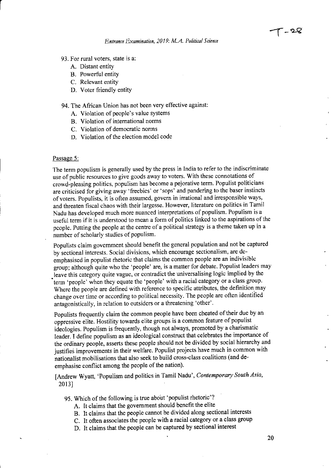- 93. For rural voters, state is a:
	- A. Distant entity
	- B. Powerful entity
	- C. Relevant entify
	- D. Voter friendly entiry

#### 94. The African Union has not been very effective against:

- A. Violation of people's value systems
- B. Violation of international norms
- C. Violation of democratic norms
- D. Violation of the election model code

#### Passage 5:

The term populism is generally used by the press in India to refer to the indiscriminate use of public resources to give goods away to voters. With these connotations of crowd-pleasing politics, populism has become a pejorative term. Populist politicians are criticised for giving away 'freebies' or 'sops' and pandering to the baser instincts ofvoters. Populists, it is often assumed, govern in irrational and irresponsible ways, and threaten fiscal chaos with their largesse. However, literature on politics in Tamil Nadu has developed much more nuanced interpretations of populism. Populism is <sup>a</sup> useful term if it is understood to mean a form of politics linked to the aspirations of the people. Putting the people at the centre of a political strategy is a theme taken up in a number of scholarly studies of populism.

Populists claim government should benefit the general population and not be captured by sectional intcrests. Social divisions, which encourage sectionalism, are deemphasised in populist rhetoric that claims the common people are an indivisible group; although quite who the 'people' are, is a matter for debate. Populist leaders may leave this category quite vague, or contradict the universalising logic implied by the term 'people' when they equate the'people'with a racial category or a class group. Where the people are defined with reference to specific attributes, the definition may change over time or according to political necessity. The people are often identified antagonistically, in relation to outsiders or a threatening 'other'.

Populists frequently claim the common people have been cheated of their due by an oppressive elite. Hostility towards elite groups is a common feature of populist ideologies. Populism is frequently, though not always, promoted by a charismatic leader. I define populism as an ideological construct that celebrates the importance of the ordinary people, asserts these people should not be divided by social hierarchy and justifies improvements in their welfare. Populist projects have much in common with nationalist mobilisations that also seek to build cross-class coalitions (and deemphasise conflict among the people of the nation).

[Andrew Wyatt, 'Populism and politics in Tamil Nadu', Contemporary South Asia, 2013]

- 95. Which of the following is true about 'populist rhetoric'?
	- A. It claims that the govemment should benefit the elite
	- B. It claims that the people cannot be divided along sectional interests
	- C. It often associates the people with a racial category or a class group
	- D. It claims that the people can be captured by sectional interest

 $T - 28$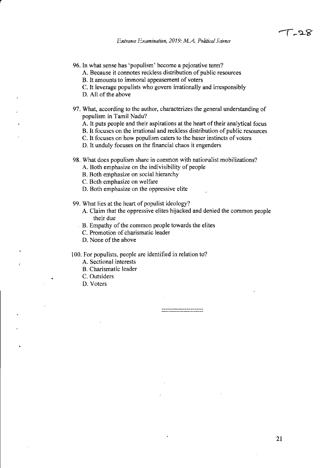- 96. In what sense has 'populism' become a pejorative term?
	- A. Because it connotes reckless distribution of public resources
	- B. It amounts to immoral appeasement of voters
	- C. It leverage populists who govern irrationally and irresponsibly
	- D. All of the above
- 97. What, according to the author, characterizes the general understanding of populism in Tamil Nadu?
	- A. It puts people and their aspirations at the heart of their analytical focus
	- B. It focuses on the irrational and reckless distribution of public resources
	- C. It focuses on how populism caters to the baser instincts of voters
	- D. It unduly focuses on the financial chaos it engenders
- 98. What does populism share in common with nationalist mobilizations?
	- A. Both emphasize on the indivisibility of people
	- B. Both emphasize on social hierarchy
	- C. Both emphasize on welfare
	- D. Both emphasize on the oppressive elite
- 99. What lies at the heart of populist ideology?
	- A. Claim that the oppressive elites hijacked and denied the common people their due
	- . B. Empathy of the common people towards the elites
		- C. Promotion of charismatic leader
		- D. None of the above

100. For populists, people are identified in relation to?

- A. Sectional interests
- B. Charismatic leader
- C. Outsiders
- D. Voters